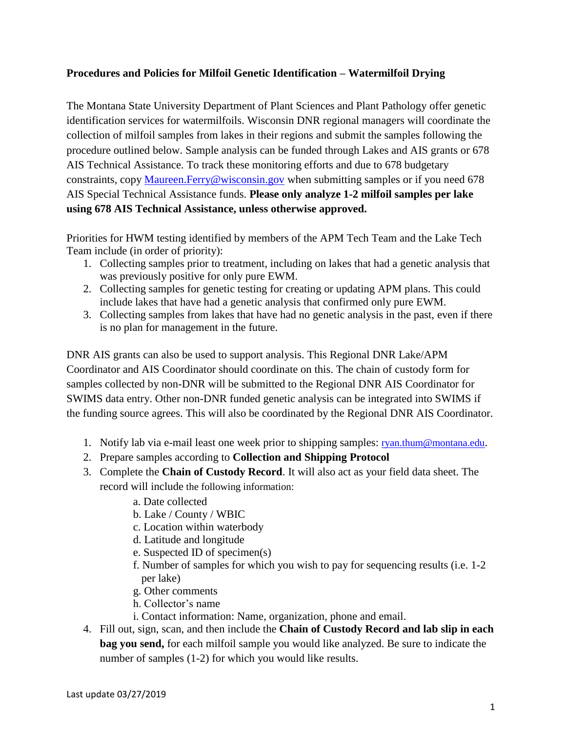# **Procedures and Policies for Milfoil Genetic Identification – Watermilfoil Drying**

The Montana State University Department of Plant Sciences and Plant Pathology offer genetic identification services for watermilfoils. Wisconsin DNR regional managers will coordinate the collection of milfoil samples from lakes in their regions and submit the samples following the procedure outlined below. Sample analysis can be funded through Lakes and AIS grants or 678 AIS Technical Assistance. To track these monitoring efforts and due to 678 budgetary constraints, copy [Maureen.Ferry@wisconsin.gov](mailto:Maureen.Ferry@wisconsin.gov) when submitting samples or if you need 678 AIS Special Technical Assistance funds. **Please only analyze 1-2 milfoil samples per lake using 678 AIS Technical Assistance, unless otherwise approved.**

Priorities for HWM testing identified by members of the APM Tech Team and the Lake Tech Team include (in order of priority):

- 1. Collecting samples prior to treatment, including on lakes that had a genetic analysis that was previously positive for only pure EWM.
- 2. Collecting samples for genetic testing for creating or updating APM plans. This could include lakes that have had a genetic analysis that confirmed only pure EWM.
- 3. Collecting samples from lakes that have had no genetic analysis in the past, even if there is no plan for management in the future.

DNR AIS grants can also be used to support analysis. This Regional DNR Lake/APM Coordinator and AIS Coordinator should coordinate on this. The chain of custody form for samples collected by non-DNR will be submitted to the Regional DNR AIS Coordinator for SWIMS data entry. Other non-DNR funded genetic analysis can be integrated into SWIMS if the funding source agrees. This will also be coordinated by the Regional DNR AIS Coordinator.

- 1. Notify lab via e-mail least one week prior to shipping samples: [ryan.thum@montana.edu](mailto:ryan.thum@montana.edu).
- 2. Prepare samples according to **Collection and Shipping Protocol**
- 3. Complete the **Chain of Custody Record**. It will also act as your field data sheet. The record will include the following information:
	- a. Date collected
	- b. Lake / County / WBIC
	- c. Location within waterbody
	- d. Latitude and longitude
	- e. Suspected ID of specimen(s)
	- f. Number of samples for which you wish to pay for sequencing results (i.e. 1-2 per lake)
	- g. Other comments
	- h. Collector's name
	- i. Contact information: Name, organization, phone and email.
- 4. Fill out, sign, scan, and then include the **Chain of Custody Record and lab slip in each bag you send,** for each milfoil sample you would like analyzed. Be sure to indicate the number of samples (1-2) for which you would like results.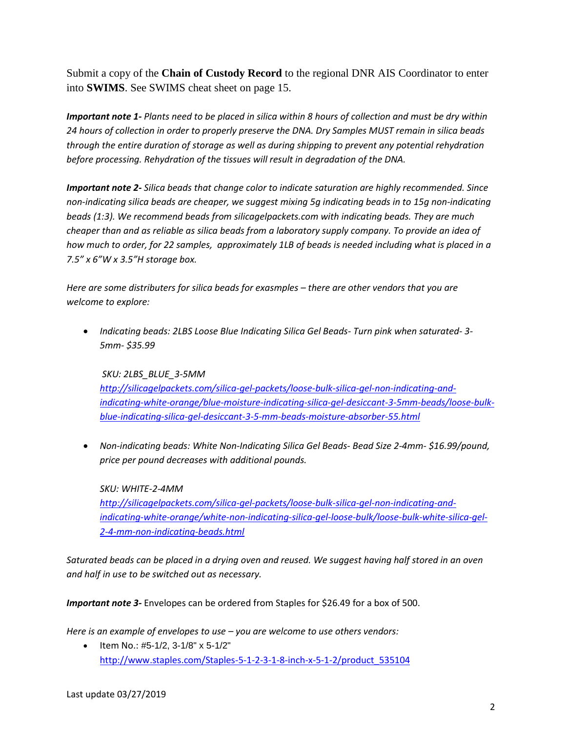Submit a copy of the **Chain of Custody Record** to the regional DNR AIS Coordinator to enter into **SWIMS**. See SWIMS cheat sheet on page 15.

*Important note 1- Plants need to be placed in silica within 8 hours of collection and must be dry within 24 hours of collection in order to properly preserve the DNA. Dry Samples MUST remain in silica beads through the entire duration of storage as well as during shipping to prevent any potential rehydration before processing. Rehydration of the tissues will result in degradation of the DNA.* 

*Important note 2- Silica beads that change color to indicate saturation are highly recommended. Since non-indicating silica beads are cheaper, we suggest mixing 5g indicating beads in to 15g non-indicating beads (1:3). We recommend beads from silicagelpackets.com with indicating beads. They are much cheaper than and as reliable as silica beads from a laboratory supply company. To provide an idea of how much to order, for 22 samples, approximately 1LB of beads is needed including what is placed in a 7.5" x 6"W x 3.5"H storage box.*

*Here are some distributers for silica beads for exasmples – there are other vendors that you are welcome to explore:*

• *Indicating beads: 2LBS Loose Blue Indicating Silica Gel Beads- Turn pink when saturated- 3- 5mm- \$35.99*

*SKU: 2LBS\_BLUE\_3-5MM [http://silicagelpackets.com/silica-gel-packets/loose-bulk-silica-gel-non-indicating-and](http://silicagelpackets.com/silica-gel-packets/loose-bulk-silica-gel-non-indicating-and-indicating-white-orange/blue-moisture-indicating-silica-gel-desiccant-3-5mm-beads/loose-bulk-blue-indicating-silica-gel-desiccant-3-5-mm-beads-moisture-absorber-55.html)[indicating-white-orange/blue-moisture-indicating-silica-gel-desiccant-3-5mm-beads/loose-bulk](http://silicagelpackets.com/silica-gel-packets/loose-bulk-silica-gel-non-indicating-and-indicating-white-orange/blue-moisture-indicating-silica-gel-desiccant-3-5mm-beads/loose-bulk-blue-indicating-silica-gel-desiccant-3-5-mm-beads-moisture-absorber-55.html)[blue-indicating-silica-gel-desiccant-3-5-mm-beads-moisture-absorber-55.html](http://silicagelpackets.com/silica-gel-packets/loose-bulk-silica-gel-non-indicating-and-indicating-white-orange/blue-moisture-indicating-silica-gel-desiccant-3-5mm-beads/loose-bulk-blue-indicating-silica-gel-desiccant-3-5-mm-beads-moisture-absorber-55.html)*

• *Non-indicating beads: White Non-Indicating Silica Gel Beads- Bead Size 2-4mm- \$16.99/pound, price per pound decreases with additional pounds.*

*SKU: WHITE-2-4MM [http://silicagelpackets.com/silica-gel-packets/loose-bulk-silica-gel-non-indicating-and](http://silicagelpackets.com/silica-gel-packets/loose-bulk-silica-gel-non-indicating-and-indicating-white-orange/white-non-indicating-silica-gel-loose-bulk/loose-bulk-white-silica-gel-2-4-mm-non-indicating-beads.html)[indicating-white-orange/white-non-indicating-silica-gel-loose-bulk/loose-bulk-white-silica-gel-](http://silicagelpackets.com/silica-gel-packets/loose-bulk-silica-gel-non-indicating-and-indicating-white-orange/white-non-indicating-silica-gel-loose-bulk/loose-bulk-white-silica-gel-2-4-mm-non-indicating-beads.html)[2-4-mm-non-indicating-beads.html](http://silicagelpackets.com/silica-gel-packets/loose-bulk-silica-gel-non-indicating-and-indicating-white-orange/white-non-indicating-silica-gel-loose-bulk/loose-bulk-white-silica-gel-2-4-mm-non-indicating-beads.html)*

*Saturated beads can be placed in a drying oven and reused. We suggest having half stored in an oven and half in use to be switched out as necessary.* 

*Important note 3-* Envelopes can be ordered from Staples for \$26.49 for a box of 500.

*Here is an example of envelopes to use – you are welcome to use others vendors:*

• Item No.: #5-1/2, 3-1/8" x 5-1/2" [http://www.staples.com/Staples-5-1-2-3-1-8-inch-x-5-1-2/product\\_535104](http://www.staples.com/Staples-5-1-2-3-1-8-inch-x-5-1-2/product_535104)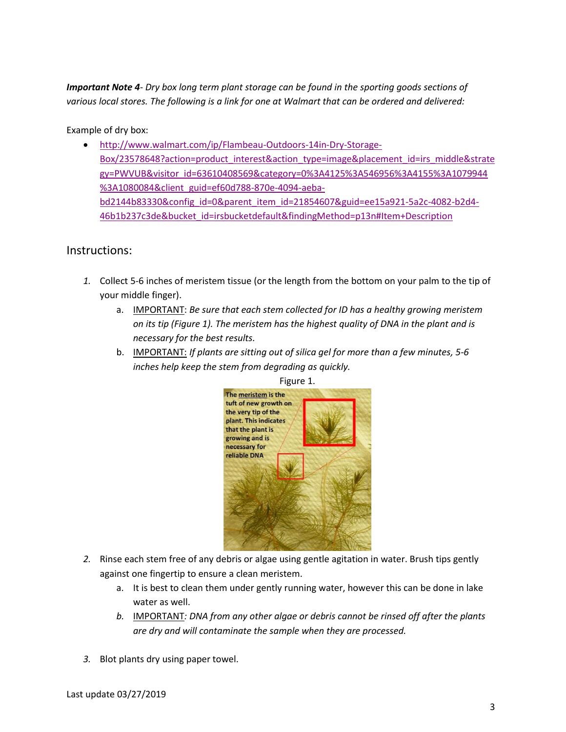*Important Note 4- Dry box long term plant storage can be found in the sporting goods sections of various local stores. The following is a link for one at Walmart that can be ordered and delivered:*

Example of dry box:

• [http://www.walmart.com/ip/Flambeau-Outdoors-14in-Dry-Storage-](http://www.walmart.com/ip/Flambeau-Outdoors-14in-Dry-Storage-Box/23578648?action=product_interest&action_type=image&placement_id=irs_middle&strategy=PWVUB&visitor_id=63610408569&category=0%3A4125%3A546956%3A4155%3A1079944%3A1080084&client_guid=ef60d788-870e-4094-aeba-bd2144b83330&config_id=0&parent_item_id=21854607&guid=ee15a921-5a2c-4082-b2d4-46b1b237c3de&bucket_id=irsbucketdefault&findingMethod=p13n#Item+Description)[Box/23578648?action=product\\_interest&action\\_type=image&placement\\_id=irs\\_middle&strate](http://www.walmart.com/ip/Flambeau-Outdoors-14in-Dry-Storage-Box/23578648?action=product_interest&action_type=image&placement_id=irs_middle&strategy=PWVUB&visitor_id=63610408569&category=0%3A4125%3A546956%3A4155%3A1079944%3A1080084&client_guid=ef60d788-870e-4094-aeba-bd2144b83330&config_id=0&parent_item_id=21854607&guid=ee15a921-5a2c-4082-b2d4-46b1b237c3de&bucket_id=irsbucketdefault&findingMethod=p13n#Item+Description) [gy=PWVUB&visitor\\_id=63610408569&category=0%3A4125%3A546956%3A4155%3A1079944](http://www.walmart.com/ip/Flambeau-Outdoors-14in-Dry-Storage-Box/23578648?action=product_interest&action_type=image&placement_id=irs_middle&strategy=PWVUB&visitor_id=63610408569&category=0%3A4125%3A546956%3A4155%3A1079944%3A1080084&client_guid=ef60d788-870e-4094-aeba-bd2144b83330&config_id=0&parent_item_id=21854607&guid=ee15a921-5a2c-4082-b2d4-46b1b237c3de&bucket_id=irsbucketdefault&findingMethod=p13n#Item+Description) [%3A1080084&client\\_guid=ef60d788-870e-4094-aeba](http://www.walmart.com/ip/Flambeau-Outdoors-14in-Dry-Storage-Box/23578648?action=product_interest&action_type=image&placement_id=irs_middle&strategy=PWVUB&visitor_id=63610408569&category=0%3A4125%3A546956%3A4155%3A1079944%3A1080084&client_guid=ef60d788-870e-4094-aeba-bd2144b83330&config_id=0&parent_item_id=21854607&guid=ee15a921-5a2c-4082-b2d4-46b1b237c3de&bucket_id=irsbucketdefault&findingMethod=p13n#Item+Description)[bd2144b83330&config\\_id=0&parent\\_item\\_id=21854607&guid=ee15a921-5a2c-4082-b2d4-](http://www.walmart.com/ip/Flambeau-Outdoors-14in-Dry-Storage-Box/23578648?action=product_interest&action_type=image&placement_id=irs_middle&strategy=PWVUB&visitor_id=63610408569&category=0%3A4125%3A546956%3A4155%3A1079944%3A1080084&client_guid=ef60d788-870e-4094-aeba-bd2144b83330&config_id=0&parent_item_id=21854607&guid=ee15a921-5a2c-4082-b2d4-46b1b237c3de&bucket_id=irsbucketdefault&findingMethod=p13n#Item+Description) [46b1b237c3de&bucket\\_id=irsbucketdefault&findingMethod=p13n#Item+Description](http://www.walmart.com/ip/Flambeau-Outdoors-14in-Dry-Storage-Box/23578648?action=product_interest&action_type=image&placement_id=irs_middle&strategy=PWVUB&visitor_id=63610408569&category=0%3A4125%3A546956%3A4155%3A1079944%3A1080084&client_guid=ef60d788-870e-4094-aeba-bd2144b83330&config_id=0&parent_item_id=21854607&guid=ee15a921-5a2c-4082-b2d4-46b1b237c3de&bucket_id=irsbucketdefault&findingMethod=p13n#Item+Description)

# Instructions:

- *1.* Collect 5-6 inches of meristem tissue (or the length from the bottom on your palm to the tip of your middle finger).
	- a. IMPORTANT: *Be sure that each stem collected for ID has a healthy growing meristem on its tip (Figure 1). The meristem has the highest quality of DNA in the plant and is necessary for the best results.*
	- b. IMPORTANT: *If plants are sitting out of silica gel for more than a few minutes, 5-6 inches help keep the stem from degrading as quickly.*



Figure 1.

- *2.* Rinse each stem free of any debris or algae using gentle agitation in water. Brush tips gently against one fingertip to ensure a clean meristem.
	- a. It is best to clean them under gently running water, however this can be done in lake water as well.
	- *b.* IMPORTANT*: DNA from any other algae or debris cannot be rinsed off after the plants are dry and will contaminate the sample when they are processed.*
- *3.* Blot plants dry using paper towel.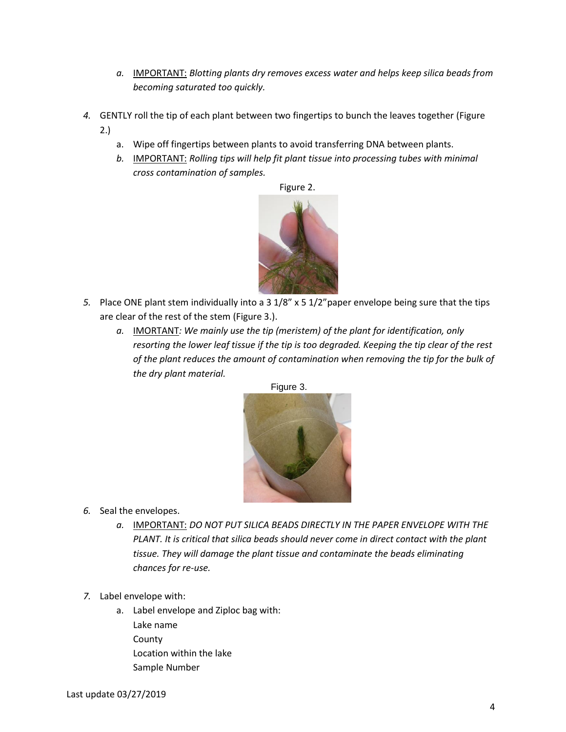- *a.* IMPORTANT: *Blotting plants dry removes excess water and helps keep silica beads from becoming saturated too quickly.*
- *4.* GENTLY roll the tip of each plant between two fingertips to bunch the leaves together (Figure 2.)
	- a. Wipe off fingertips between plants to avoid transferring DNA between plants.
	- *b.* IMPORTANT: *Rolling tips will help fit plant tissue into processing tubes with minimal cross contamination of samples.*



- *5.* Place ONE plant stem individually into a 3 1/8" x 5 1/2"paper envelope being sure that the tips are clear of the rest of the stem (Figure 3.).
	- *a.* IMORTANT*: We mainly use the tip (meristem) of the plant for identification, only resorting the lower leaf tissue if the tip is too degraded. Keeping the tip clear of the rest of the plant reduces the amount of contamination when removing the tip for the bulk of the dry plant material.*





- *6.* Seal the envelopes.
	- *a.* IMPORTANT: *DO NOT PUT SILICA BEADS DIRECTLY IN THE PAPER ENVELOPE WITH THE PLANT. It is critical that silica beads should never come in direct contact with the plant tissue. They will damage the plant tissue and contaminate the beads eliminating chances for re-use.*
- *7.* Label envelope with:
	- a. Label envelope and Ziploc bag with: Lake name County Location within the lake Sample Number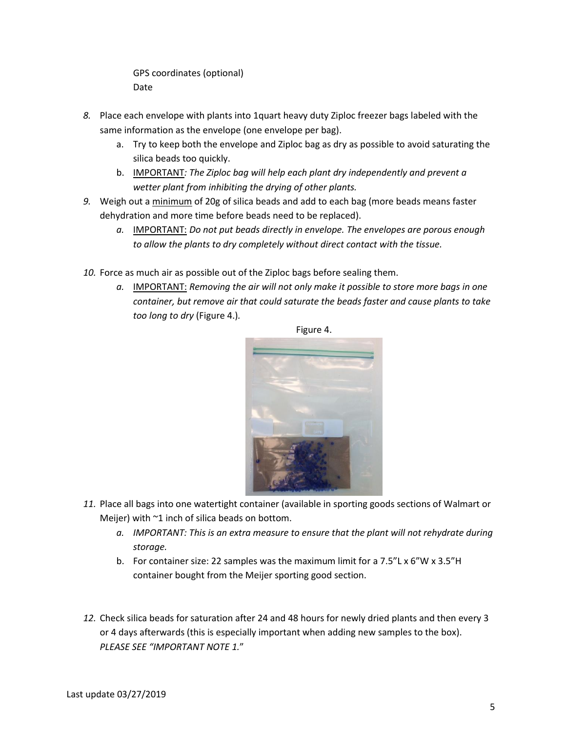GPS coordinates (optional) Date

- *8.* Place each envelope with plants into 1quart heavy duty Ziploc freezer bags labeled with the same information as the envelope (one envelope per bag).
	- a. Try to keep both the envelope and Ziploc bag as dry as possible to avoid saturating the silica beads too quickly.
	- b. IMPORTANT*: The Ziploc bag will help each plant dry independently and prevent a wetter plant from inhibiting the drying of other plants.*
- *9.* Weigh out a minimum of 20g of silica beads and add to each bag (more beads means faster dehydration and more time before beads need to be replaced).
	- *a.* IMPORTANT: *Do not put beads directly in envelope. The envelopes are porous enough to allow the plants to dry completely without direct contact with the tissue.*
- *10.* Force as much air as possible out of the Ziploc bags before sealing them.
	- *a.* IMPORTANT: *Removing the air will not only make it possible to store more bags in one container, but remove air that could saturate the beads faster and cause plants to take too long to dry* (Figure 4.)*.*



Figure 4.

- *11.* Place all bags into one watertight container (available in sporting goods sections of Walmart or Meijer) with ~1 inch of silica beads on bottom.
	- *a. IMPORTANT: This is an extra measure to ensure that the plant will not rehydrate during storage.*
	- b. For container size: 22 samples was the maximum limit for a 7.5"L x 6"W x 3.5"H container bought from the Meijer sporting good section.
- *12.* Check silica beads for saturation after 24 and 48 hours for newly dried plants and then every 3 or 4 days afterwards (this is especially important when adding new samples to the box). *PLEASE SEE "IMPORTANT NOTE 1.*"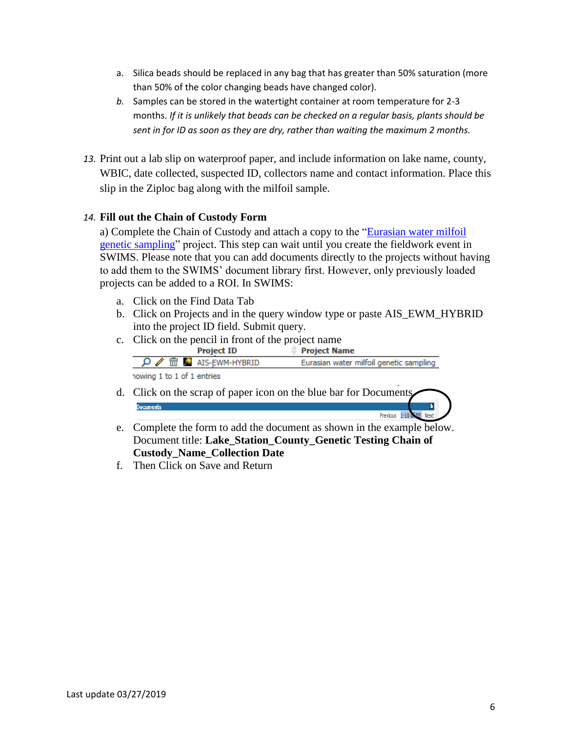- a. Silica beads should be replaced in any bag that has greater than 50% saturation (more than 50% of the color changing beads have changed color).
- *b.* Samples can be stored in the watertight container at room temperature for 2-3 months. *If it is unlikely that beads can be checked on a regular basis, plants should be sent in for ID as soon as they are dry, rather than waiting the maximum 2 months.*
- *13.* Print out a lab slip on waterproof paper, and include information on lake name, county, WBIC, date collected, suspected ID, collectors name and contact information. Place this slip in the Ziploc bag along with the milfoil sample.

# *14.* **Fill out the Chain of Custody Form**

a) Complete the Chain of Custody and attach a copy to the ["Eurasian water milfoil](https://prodoasint.dnr.wi.gov/swims/viewPlan.do?id=145852804&fromURL=/browseProject.html)  [genetic sampling"](https://prodoasint.dnr.wi.gov/swims/viewPlan.do?id=145852804&fromURL=/browseProject.html) project. This step can wait until you create the fieldwork event in SWIMS. Please note that you can add documents directly to the projects without having to add them to the SWIMS' document library first. However, only previously loaded projects can be added to a ROI. In SWIMS:

- a. Click on the Find Data Tab
- b. Click on Projects and in the query window type or paste AIS\_EWM\_HYBRID into the project ID field. Submit query.
- c. Click on the pencil in front of the project name

| <b>Project ID</b>                               | <b>Project Name</b>                     |
|-------------------------------------------------|-----------------------------------------|
| $\mathsf{D} \nearrow \mathbb{m}$ ais-EWM-HYBRID | Eurasian water milfoil genetic sampling |
| howing 1 to 1 of 1 entries                      |                                         |
|                                                 |                                         |

- d. Click on the scrap of paper icon on the blue bar for Documents **Documents** Previous 1-10 d
- e. Complete the form to add the document as shown in the example below. Document title: **Lake\_Station\_County\_Genetic Testing Chain of Custody\_Name\_Collection Date**
- f. Then Click on Save and Return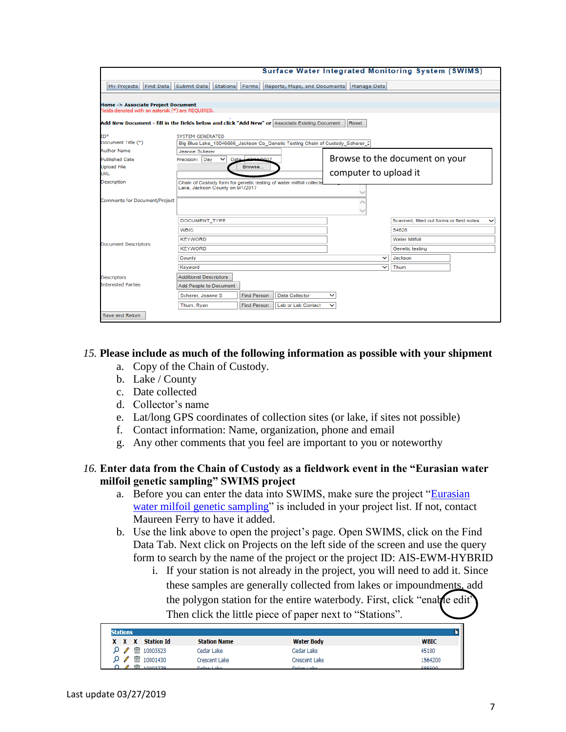|                                                                                                |                                                                                                         |                    |                              |                       |              | Surface Water Integrated Monitoring System (SWIMS) |  |
|------------------------------------------------------------------------------------------------|---------------------------------------------------------------------------------------------------------|--------------------|------------------------------|-----------------------|--------------|----------------------------------------------------|--|
| My Projects<br>Find Data                                                                       | Submit Data<br><b>Stations</b>                                                                          | Forms              | Reports, Maps, and Documents | Manage Data           |              |                                                    |  |
|                                                                                                |                                                                                                         |                    |                              |                       |              |                                                    |  |
| Home -> Associate Project Document<br>Fields denoted with an asterisk (*) are REQUIRED.        |                                                                                                         |                    |                              |                       |              |                                                    |  |
|                                                                                                |                                                                                                         |                    |                              |                       |              |                                                    |  |
| Add New Document - fill in the fields below and click "Add New" or Associate Existing Document |                                                                                                         |                    |                              | Reset                 |              |                                                    |  |
| ID <sup>*</sup>                                                                                | <b>SYSTEM GENERATED</b>                                                                                 |                    |                              |                       |              |                                                    |  |
| Document Title (*)                                                                             | Big Blue Lake_10046666_Jackson Co_Genetic Testing Chain of Custody_Scherer_2                            |                    |                              |                       |              |                                                    |  |
| <b>Author Name</b>                                                                             | Jeanne Scherer                                                                                          |                    |                              |                       |              |                                                    |  |
| <b>Published Date</b>                                                                          | Precision: Day<br>Date                                                                                  | 12/11/2017         |                              |                       |              | Browse to the document on your                     |  |
| <b>Upload File</b>                                                                             |                                                                                                         | Browse             |                              |                       |              |                                                    |  |
| URL                                                                                            |                                                                                                         |                    |                              | computer to upload it |              |                                                    |  |
| Description                                                                                    | Chain of Custody form for genetic testing of water milfoil collecte<br>Lake, Jackson County on 9/1/2017 |                    |                              |                       |              |                                                    |  |
|                                                                                                |                                                                                                         |                    |                              |                       |              |                                                    |  |
| <b>Comments for Document/Project</b>                                                           |                                                                                                         |                    |                              |                       |              |                                                    |  |
|                                                                                                |                                                                                                         |                    |                              |                       |              |                                                    |  |
|                                                                                                | DOCUMENT_TYPE                                                                                           |                    |                              |                       |              | Scanned, filled out forms or field notes           |  |
|                                                                                                | <b>WBIC</b>                                                                                             |                    |                              |                       |              | 54628                                              |  |
| <b>Document Descriptors</b>                                                                    | <b>KEYWORD</b>                                                                                          |                    |                              |                       |              | <b>Water Milfoil</b>                               |  |
|                                                                                                | <b>KEYWORD</b>                                                                                          |                    |                              |                       |              | Genetic testing                                    |  |
|                                                                                                | County                                                                                                  |                    |                              |                       | $\checkmark$ | Jackson                                            |  |
|                                                                                                | Keyword                                                                                                 |                    |                              |                       | $\checkmark$ | Thum                                               |  |
| Descriptors                                                                                    | <b>Additional Descriptors</b>                                                                           |                    |                              |                       |              |                                                    |  |
| <b>Interested Parties</b>                                                                      | Add People to Document                                                                                  |                    |                              |                       |              |                                                    |  |
|                                                                                                | Scherer, Jeanne S                                                                                       | <b>Find Person</b> | Data Collector               | $\checkmark$          |              |                                                    |  |
|                                                                                                | Thum, Ryan                                                                                              | <b>Find Person</b> | Lab or Lab Contact           | $\checkmark$          |              |                                                    |  |
| Save and Return                                                                                |                                                                                                         |                    |                              |                       |              |                                                    |  |

### *15.* **Please include as much of the following information as possible with your shipment**

- a. Copy of the Chain of Custody.
- b. Lake / County
- c. Date collected
- d. Collector's name
- e. Lat/long GPS coordinates of collection sites (or lake, if sites not possible)
- f. Contact information: Name, organization, phone and email
- g. Any other comments that you feel are important to you or noteworthy

#### *16.* **Enter data from the Chain of Custody as a fieldwork event in the "Eurasian water milfoil genetic sampling" SWIMS project**

- a. Before you can enter the data into SWIMS, make sure the project ["Eurasian](https://prodoasint.dnr.wi.gov/swims/viewPlan.do?id=145852804&fromURL=/browseProject.html)  [water milfoil genetic sampling"](https://prodoasint.dnr.wi.gov/swims/viewPlan.do?id=145852804&fromURL=/browseProject.html) is included in your project list. If not, contact Maureen Ferry to have it added.
- b. Use the link above to open the project's page. Open SWIMS, click on the Find Data Tab. Next click on Projects on the left side of the screen and use the query form to search by the name of the project or the project ID: AIS-EWM-HYBRID
	- i. If your station is not already in the project, you will need to add it. Since these samples are generally collected from lakes or impoundments, add the polygon station for the entire waterbody. First, click "enable edit" Then click the little piece of paper next to "Stations".

| ٣ŕ<br><b>Stations</b> |  |                                                   |                      |                      |             |  |
|-----------------------|--|---------------------------------------------------|----------------------|----------------------|-------------|--|
|                       |  | X X X Station Id                                  | <b>Station Name</b>  | <b>Water Body</b>    | <b>WBIC</b> |  |
|                       |  | $\mathcal{P}$ $\mathcal{P}$ $\mathbb{m}$ 10003523 | Cedar Lake           | Cedar Lake           | 45100       |  |
|                       |  | $\Omega \times \overline{m}$ 10001430             | <b>Crescent Lake</b> | <b>Crescent Lake</b> | 1564200     |  |
|                       |  | $\overline{m}$ in $\overline{a}$                  | Dalan Lake           | Deland also          | EOEENA      |  |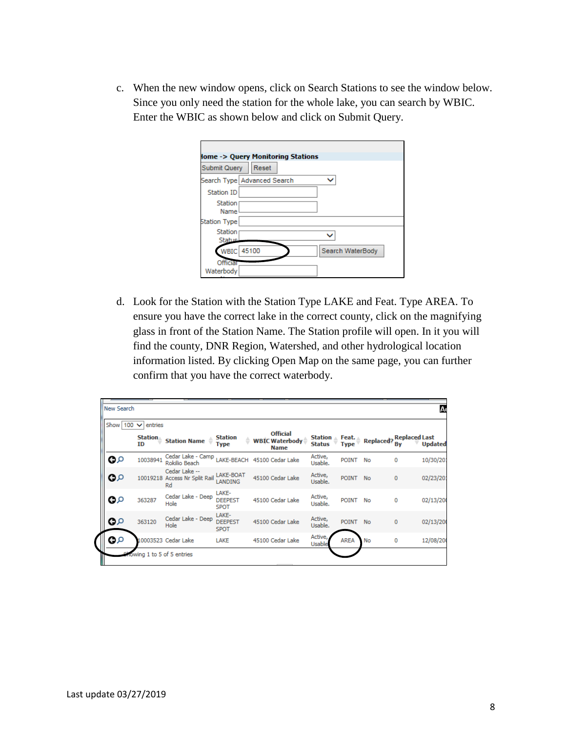c. When the new window opens, click on Search Stations to see the window below. Since you only need the station for the whole lake, you can search by WBIC. Enter the WBIC as shown below and click on Submit Query.

|                          | <b>The State of State of Stations</b>       |  |
|--------------------------|---------------------------------------------|--|
| <b>Submit Query</b>      | Reset                                       |  |
|                          | Search Type Advanced Search<br>$\checkmark$ |  |
| Station ID               |                                             |  |
| Station                  |                                             |  |
| Name<br>Station Type     |                                             |  |
| Station<br><b>Status</b> |                                             |  |
|                          | WBIC 45100<br>Search WaterBody              |  |
| Official<br>Waterbody    |                                             |  |

d. Look for the Station with the Station Type LAKE and Feat. Type AREA. To ensure you have the correct lake in the correct county, click on the magnifying glass in front of the Station Name. The Station profile will open. In it you will find the county, DNR Region, Watershed, and other hydrological location information listed. By clicking Open Map on the same page, you can further confirm that you have the correct waterbody.

| Show 100 | entries<br>$\checkmark$ |                                                      |                                        |                                                         |                                 |              |                                                         |   |                |
|----------|-------------------------|------------------------------------------------------|----------------------------------------|---------------------------------------------------------|---------------------------------|--------------|---------------------------------------------------------|---|----------------|
|          | <b>Station</b><br>ID    | <b>Station Name</b>                                  | <b>Station</b><br>÷<br><b>Type</b>     | <b>Official</b><br><b>WBIC Waterbody</b><br><b>Name</b> | <b>Station</b><br><b>Status</b> |              | Feat. Replaced? Replaced Last<br>Type Replaced? By Upda |   | <b>Updated</b> |
| Q۵       | 1003894                 | Cedar Lake - Camp LAKE-BEACH<br>Rokilio Beach        |                                        | 45100 Cedar Lake                                        | Active,<br>Usable.              | <b>POINT</b> | No                                                      | 0 | 10/30/201      |
| ဝ၀       |                         | Cedar Lake --<br>10019218 Access Nr Split Rail<br>Rd | LAKE-BOAT<br><b>LANDING</b>            | 45100 Cedar Lake                                        | Active,<br>Usable.              | POINT No     |                                                         | 0 | 02/23/201      |
| ၀၀       | 363287                  | Cedar Lake - Deep<br>Hole                            | LAKE-<br><b>DEEPEST</b><br><b>SPOT</b> | 45100 Cedar Lake                                        | Active,<br>Usable.              | POINT No     |                                                         | 0 | 02/13/20       |
| Q۵       | 363120                  | Cedar Lake - Deep<br>Hole                            | LAKE-<br><b>DEEPEST</b><br><b>SPOT</b> | 45100 Cedar Lake                                        | Active,<br>Usable.              | <b>POINT</b> | <b>No</b>                                               | 0 | 02/13/20       |
| مه       |                         | 10003523 Cedar Lake                                  | LAKE                                   | 45100 Cedar Lake                                        | Active,<br>Usable               | <b>AREA</b>  | <b>No</b>                                               | 0 | 12/08/20       |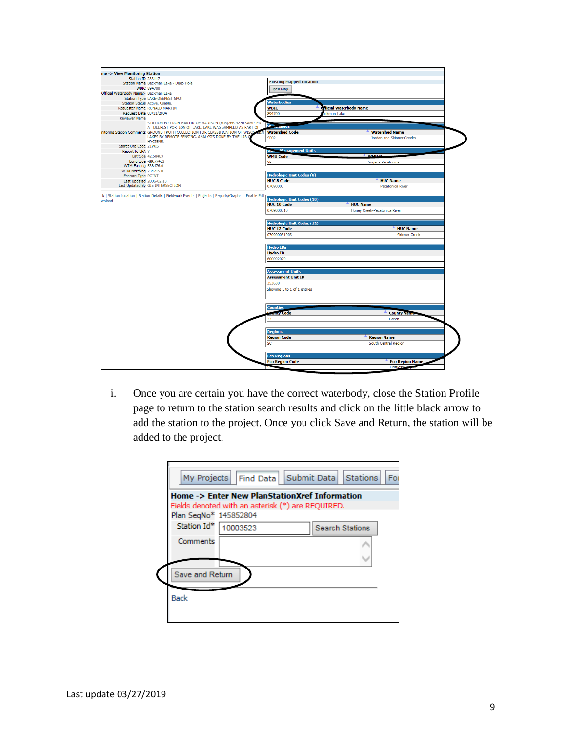| me -> View Monitoring Station                 |                                                                               |                                                                                                                |                                                                           |
|-----------------------------------------------|-------------------------------------------------------------------------------|----------------------------------------------------------------------------------------------------------------|---------------------------------------------------------------------------|
| <b>Station ID 233117</b>                      |                                                                               |                                                                                                                |                                                                           |
|                                               | Station Name Beckman Lake - Deep Hole                                         | <b>Existing Mapped Location</b>                                                                                |                                                                           |
|                                               | <b>WBIC 894700</b>                                                            | Open Map                                                                                                       |                                                                           |
| Official WaterBody Name> Beckman Lake         |                                                                               |                                                                                                                |                                                                           |
|                                               | Station Type LAKE-DEEPEST SPOT                                                |                                                                                                                |                                                                           |
|                                               | Station Status Active, Usable.                                                | <b>Waterbodies</b>                                                                                             |                                                                           |
|                                               | Requester Name RONALD MARTIN                                                  | <b>WBIC</b>                                                                                                    | fficial Waterbody Name                                                    |
| Request Date 03/11/2004                       |                                                                               | 894700                                                                                                         | :kman Lake                                                                |
| <b>Reviewer Name</b>                          | STATION FOR RON MARTIN OF MADISON (608)266-9270 SAMPLED                       |                                                                                                                |                                                                           |
|                                               | AT DEEPEST PORTION OF LAKE, LAKE WAS SAMPLED AS PART OF                       | $W^{-1}$ as new                                                                                                |                                                                           |
|                                               | nitoring Station Comments GROUND TRUTH COLLECTION FOR CLASSIFICATION OF WISCO | <b>Watershed Code</b>                                                                                          | <b>Watershed Name</b>                                                     |
|                                               | LAKES BY REMOTE SENSING. ANALYSIS DONE BY THE LAB Q                           | <b>SP02</b>                                                                                                    | Jordan and Skinner Creeks                                                 |
|                                               | HYGIENE.                                                                      |                                                                                                                |                                                                           |
| Storet Org Code 21WIS                         |                                                                               |                                                                                                                |                                                                           |
| Report to EPA Y                               |                                                                               | <b>Welch Management Units</b>                                                                                  |                                                                           |
|                                               | Latitude 42.58463                                                             | <b>WMU Code</b>                                                                                                | <b>MMILM</b>                                                              |
|                                               | Longitude -89.77483                                                           | SP                                                                                                             | Sugar - Pecatonica                                                        |
| <b>WTM Easting 538476.0</b>                   |                                                                               |                                                                                                                |                                                                           |
| WTM Northing 234715.0                         |                                                                               | <b>Hydrologic Unit Codes (8)</b>                                                                               |                                                                           |
| Feature Type POINT<br>Last Updated 2006-02-13 |                                                                               | <b>HUC 8 Code</b>                                                                                              | <b>HUC Name</b>                                                           |
|                                               | Last Updated By GIS INTERSECTION                                              |                                                                                                                |                                                                           |
|                                               |                                                                               | 07090003                                                                                                       | <b>Pecatonica River</b>                                                   |
|                                               |                                                                               | <b>HUC 10 Code</b><br>0709000310                                                                               | <b>HUC Name</b><br>Honey Creek-Pecatonica River                           |
|                                               |                                                                               | <b>Hydrologic Unit Codes (12)</b><br><b>HUC 12 Code</b><br>070900031003<br><b>Hydro IDs</b><br><b>Hydro ID</b> | <b>HUC Name</b><br><b>Skinner Creek</b>                                   |
|                                               |                                                                               | 600092079<br><b>Assessment Units</b><br><b>Assessment Unit ID</b><br>353638<br>Showing 1 to 1 of 1 entries     |                                                                           |
|                                               |                                                                               | Counties<br><b><i>anty</i></b> Code<br>23<br><b>Regions</b><br><b>Region Code</b><br>SC                        | <b>County Name</b><br>Green<br><b>Region Name</b><br>South Central Region |
|                                               |                                                                               |                                                                                                                |                                                                           |
|                                               |                                                                               | <b>Eco Regions</b><br><b>Eco Region Code</b>                                                                   | <b>Eco Region Name</b>                                                    |

i. Once you are certain you have the correct waterbody, close the Station Profile page to return to the station search results and click on the little black arrow to add the station to the project. Once you click Save and Return, the station will be added to the project.

|                       | Home -> Enter New PlanStationXref Information<br>Fields denoted with an asterisk (*) are REQUIRED. |                        |  |
|-----------------------|----------------------------------------------------------------------------------------------------|------------------------|--|
| Plan SegNo* 145852804 |                                                                                                    |                        |  |
| Station Id*           | 10003523                                                                                           | <b>Search Stations</b> |  |
| Comments              |                                                                                                    |                        |  |
|                       |                                                                                                    |                        |  |
| Save and Return       |                                                                                                    |                        |  |
|                       |                                                                                                    |                        |  |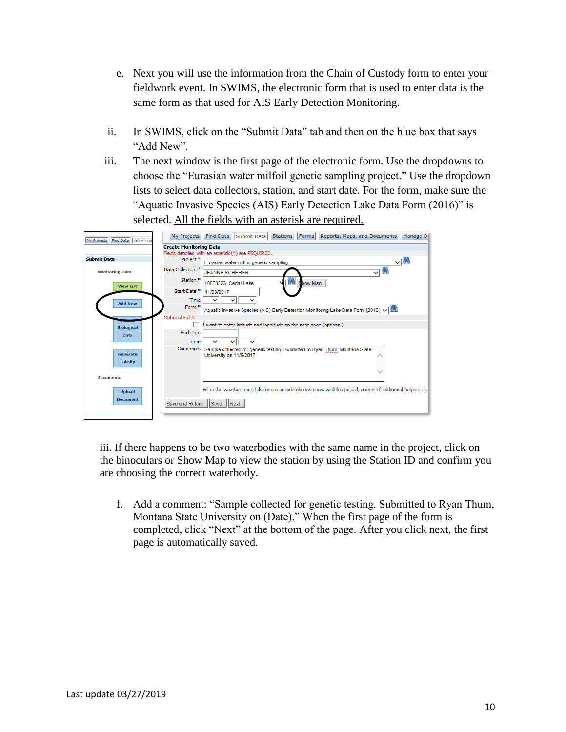- e. Next you will use the information from the Chain of Custody form to enter your fieldwork event. In SWIMS, the electronic form that is used to enter data is the same form as that used for AIS Early Detection Monitoring.
- ii. In SWIMS, click on the "Submit Data" tab and then on the blue box that says "Add New".
- iii. The next window is the first page of the electronic form. Use the dropdowns to choose the "Eurasian water milfoil genetic sampling project." Use the dropdown lists to select data collectors, station, and start date. For the form, make sure the "Aquatic Invasive Species (AIS) Early Detection Lake Data Form (2016)" is selected. All the fields with an asterisk are required.

| My Projects Find Data Submit Da | My Projects                   | Find Data   Submit Data<br><b>Stations</b><br>Reports, Maps, and Documents<br>Manage Da<br>Forms              |
|---------------------------------|-------------------------------|---------------------------------------------------------------------------------------------------------------|
|                                 | <b>Create Monitoring Data</b> |                                                                                                               |
|                                 |                               | Fields denoted with an asterisk (*) are REQUIRED.                                                             |
| <b>Submit Data</b>              | Project *                     | $\vee$ M<br>Eurasian water milfoil genetic sampling                                                           |
| <b>Monitoring Data</b>          | Data Collectors <sup>*</sup>  | M<br><b>JEANNE SCHERER</b><br>$\checkmark$                                                                    |
| <b>View List</b>                | Station <sup>*</sup>          | 6M)<br>10003523. Cedar Lake<br>Show Map                                                                       |
|                                 | Start Date <sup>*</sup>       | 11/08/2017                                                                                                    |
| <b>Add New</b>                  | Time                          |                                                                                                               |
|                                 | Form *                        | Aquatic Invasive Species (AIS) Early Detection Monitoring Lake Data Form [2016] V [M]                         |
|                                 | <b>Optional Fields</b>        |                                                                                                               |
| <b>Biological</b>               |                               | I want to enter latitude and longitude on the next page (optional)                                            |
| <b>Data</b>                     | <b>End Date</b>               |                                                                                                               |
|                                 | Time                          | ◡<br>$\checkmark$                                                                                             |
| Generate                        | Comments                      | Sample collected for genetic testing. Submitted to Ryan Thum, Montana State<br>University on 11/9/2017.       |
| Labslip                         |                               |                                                                                                               |
|                                 |                               |                                                                                                               |
| <b>Documents</b>                |                               |                                                                                                               |
| <b>Upload</b>                   |                               | Fill in the weather here, lake or streamside observations, wildlife spotted, names of additional helpers etc. |
| <b>Document</b>                 |                               |                                                                                                               |
|                                 | Save and Return               | Next<br><b>Save</b>                                                                                           |
|                                 |                               |                                                                                                               |

iii. If there happens to be two waterbodies with the same name in the project, click on the binoculars or Show Map to view the station by using the Station ID and confirm you are choosing the correct waterbody.

f. Add a comment: "Sample collected for genetic testing. Submitted to Ryan Thum, Montana State University on (Date)." When the first page of the form is completed, click "Next" at the bottom of the page. After you click next, the first page is automatically saved.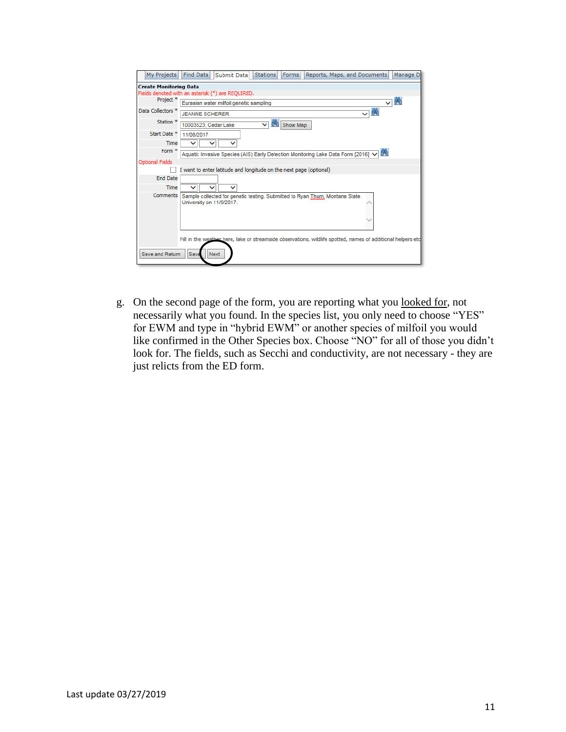| My Projects                   | Find Data<br><b>Stations</b><br>Forms<br>Manage D<br>Submit Data<br>Reports, Maps, and Documents              |
|-------------------------------|---------------------------------------------------------------------------------------------------------------|
| <b>Create Monitoring Data</b> |                                                                                                               |
|                               | Fields denoted with an asterisk (*) are REQUIRED.                                                             |
| Project <sup>*</sup>          | $\vee$ M<br>Eurasian water milfoil genetic sampling                                                           |
| Data Collectors <sup>*</sup>  | $\vee$ M<br><b>JEANNE SCHERER</b>                                                                             |
| Station <sup>*</sup>          | 6N)<br>Show Map<br>10003523, Cedar Lake<br>$\checkmark$                                                       |
| Start Date <sup>*</sup>       | 11/08/2017                                                                                                    |
| Time                          |                                                                                                               |
| Form <sup>*</sup>             | Aquatic Invasive Species (AIS) Early Detection Monitoring Lake Data Form [2016] V M                           |
| <b>Optional Fields</b>        |                                                                                                               |
|                               | I want to enter latitude and longitude on the next page (optional)                                            |
| <b>End Date</b>               |                                                                                                               |
| Time                          | ◡                                                                                                             |
| Comments                      | Sample collected for genetic testing. Submitted to Ryan Thum, Montana State<br>University on 11/9/2017.       |
|                               | Fill in the weather here, lake or streamside observations, wildlife spotted, names of additional helpers etc. |
| Save and Return               | Save<br><b>Next</b>                                                                                           |

g. On the second page of the form, you are reporting what you looked for, not necessarily what you found. In the species list, you only need to choose "YES" for EWM and type in "hybrid EWM" or another species of milfoil you would like confirmed in the Other Species box. Choose "NO" for all of those you didn't look for. The fields, such as Secchi and conductivity, are not necessary - they are just relicts from the ED form.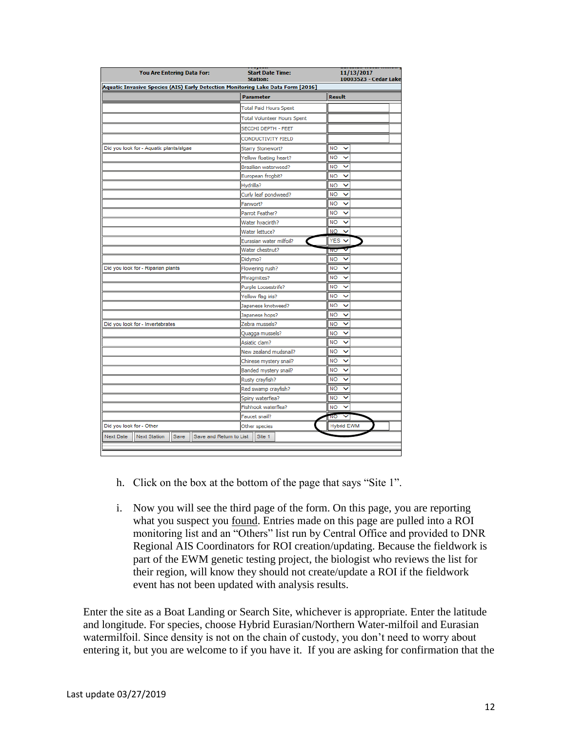| You Are Entering Data For:                                                      | <b>Start Date Time:</b><br><b>Station:</b> | 11/13/2017<br>10003523 - Cedar Lake |
|---------------------------------------------------------------------------------|--------------------------------------------|-------------------------------------|
| Aquatic Invasive Species (AIS) Early Detection Monitoring Lake Data Form [2016] |                                            |                                     |
|                                                                                 | <b>Parameter</b>                           | <b>Result</b>                       |
|                                                                                 | <b>Total Paid Hours Spent</b>              |                                     |
|                                                                                 | <b>Total Volunteer Hours Spent</b>         |                                     |
|                                                                                 | SECCHI DEPTH - FEET                        |                                     |
|                                                                                 | CONDUCTIVITY FIELD                         |                                     |
| Did you look for - Aquatic plants/algae                                         | Starry Stonewort?                          | <b>NO</b><br>$\checkmark$           |
|                                                                                 | Yellow floating heart?                     | <b>NO</b><br>$\checkmark$           |
|                                                                                 | Brazilian waterweed?                       | <b>NO</b><br>◡                      |
|                                                                                 | European frogbit?                          | <b>NO</b><br>$\checkmark$           |
|                                                                                 | Hydrilla?                                  | <b>NO</b><br>◡                      |
|                                                                                 | Curly leaf pondweed?                       | <b>NO</b><br>$\checkmark$           |
|                                                                                 | Fanwort?                                   | <b>NO</b><br>v                      |
|                                                                                 | Parrot Feather?                            | <b>NO</b><br>◡                      |
|                                                                                 | Water hyacinth?                            | <b>NO</b><br>$\checkmark$           |
|                                                                                 | Water lettuce?                             | <b>NO</b><br>◡                      |
|                                                                                 | Eurasian water milfoil?                    | <b>YES</b><br>$\checkmark$          |
|                                                                                 | Water chestnut?                            | v<br>INU                            |
|                                                                                 | Didymo?                                    | <b>NO</b><br>$\checkmark$           |
| Did you look for - Riparian plants                                              | Flowering rush?                            | <b>NO</b><br>v                      |
|                                                                                 | Phragmites?                                | <b>NO</b><br>v                      |
|                                                                                 | Purple Loosestrife?                        | <b>NO</b><br>$\checkmark$           |
|                                                                                 | Yellow flag iris?                          | <b>NO</b><br>◡                      |
|                                                                                 | Japanese knotweed?                         | <b>NO</b><br>$\checkmark$           |
|                                                                                 | Japanese hops?                             | <b>NO</b><br>$\checkmark$           |
| Did you look for - Invertebrates                                                | Zebra mussels?                             | <b>NO</b><br>◡                      |
|                                                                                 | Quagga mussels?                            | <b>NO</b><br>v                      |
|                                                                                 | Asiatic clam?                              | <b>NO</b><br>$\checkmark$           |
|                                                                                 | New zealand mudsnail?                      | <b>NO</b><br>v                      |
|                                                                                 | Chinese mystery snail?                     | <b>NO</b><br>$\checkmark$           |
|                                                                                 | Banded mystery snail?                      | <b>NO</b><br>$\checkmark$           |
|                                                                                 | Rusty crayfish?                            | <b>NO</b><br>◡                      |
|                                                                                 | Red swamp crayfish?                        | <b>NO</b><br>◡                      |
|                                                                                 | Spiny waterflea?                           | <b>NO</b><br>$\check{ }$            |
|                                                                                 | Fishhook waterflea?                        | <b>NO</b><br>◡                      |
|                                                                                 | Faucet snail?                              | 'NO<br>v                            |
| Did you look for - Other                                                        | Other species                              | <b>Hybrid EWM</b>                   |
| Next Station<br><b>Next Date</b><br>Save                                        | Save and Return to List<br>Site 1          |                                     |

- h. Click on the box at the bottom of the page that says "Site 1".
- i. Now you will see the third page of the form. On this page, you are reporting what you suspect you found. Entries made on this page are pulled into a ROI monitoring list and an "Others" list run by Central Office and provided to DNR Regional AIS Coordinators for ROI creation/updating. Because the fieldwork is part of the EWM genetic testing project, the biologist who reviews the list for their region, will know they should not create/update a ROI if the fieldwork event has not been updated with analysis results.

Enter the site as a Boat Landing or Search Site, whichever is appropriate. Enter the latitude and longitude. For species, choose Hybrid Eurasian/Northern Water-milfoil and Eurasian watermilfoil. Since density is not on the chain of custody, you don't need to worry about entering it, but you are welcome to if you have it. If you are asking for confirmation that the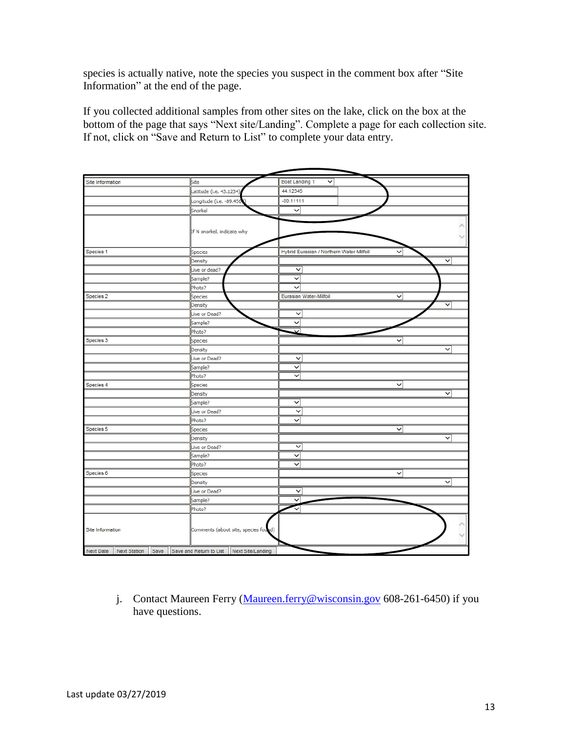species is actually native, note the species you suspect in the comment box after "Site Information" at the end of the page.

If you collected additional samples from other sites on the lake, click on the box at the bottom of the page that says "Next site/Landing". Complete a page for each collection site. If not, click on "Save and Return to List" to complete your data entry.

| Site Information          |         | Site                                        | <b>Boat Landing 1</b>  | v                                        |              |              |
|---------------------------|---------|---------------------------------------------|------------------------|------------------------------------------|--------------|--------------|
|                           |         | Latitude (i.e. 43.1234)                     | 44.12345               |                                          |              |              |
|                           |         | Longitude (i.e. -89.456)                    | $-89.11111$            |                                          |              |              |
|                           |         | Snorkel                                     | v                      |                                          |              |              |
|                           |         |                                             |                        |                                          |              |              |
|                           |         | If N snorkel, indicate why                  |                        |                                          |              |              |
|                           |         |                                             |                        |                                          |              |              |
|                           |         |                                             |                        |                                          |              |              |
| Species 1                 |         | Species                                     |                        | Hybrid Eurasian / Northern Water-Milfoil |              |              |
|                           |         | Density                                     |                        |                                          |              | v            |
|                           |         | Live or dead?                               | v                      |                                          |              |              |
|                           |         | Sample?                                     | $\checkmark$           |                                          |              |              |
|                           |         | Photo?                                      | ◡                      |                                          |              |              |
| Species 2                 | Species |                                             | Eurasian Water-Milfoil | $\checkmark$                             |              |              |
|                           |         | Density                                     |                        |                                          |              | v            |
|                           |         | Live or Dead?                               | $\checkmark$           |                                          |              |              |
|                           |         | Sample?                                     | v                      |                                          |              |              |
|                           |         | Photo?                                      | ◡                      |                                          |              |              |
| Species 3                 |         | Species                                     |                        |                                          | v            |              |
|                           |         | Density                                     |                        |                                          |              | v            |
|                           |         | Live or Dead?                               | v                      |                                          |              |              |
|                           |         | Sample?                                     | v                      |                                          |              |              |
|                           |         | Photo?                                      | $\checkmark$           |                                          |              |              |
| Species 4                 |         | Species                                     |                        |                                          | $\checkmark$ |              |
|                           |         | Density                                     |                        |                                          |              | $\checkmark$ |
|                           |         | Sample?                                     | ◡                      |                                          |              |              |
|                           |         | Live or Dead?                               | v                      |                                          |              |              |
|                           |         | Photo?                                      | v                      |                                          |              |              |
| Species 5                 |         | Species                                     |                        |                                          | v            |              |
|                           |         | Density                                     |                        |                                          |              | ◡            |
|                           |         | Live or Dead?                               | $\checkmark$           |                                          |              |              |
|                           |         | Sample?                                     | v                      |                                          |              |              |
|                           |         | Photo?                                      | $\checkmark$           |                                          |              |              |
| Species 6                 |         | Species                                     |                        |                                          | v            |              |
|                           |         | Density                                     |                        |                                          |              | v            |
|                           |         | Live or Dead?                               | ◡                      |                                          |              |              |
|                           |         | Sample?                                     | v                      |                                          |              |              |
|                           |         | Photo?                                      |                        |                                          |              |              |
|                           |         |                                             |                        |                                          |              |              |
| Site Information          |         | Comments (about site, species found)        |                        |                                          |              |              |
|                           |         |                                             |                        |                                          |              |              |
| Next Date<br>Next Station | Save    | Save and Return to List   Next Site/Landing |                        |                                          |              |              |

j. Contact Maureen Ferry [\(Maureen.ferry@wisconsin.gov](mailto:Maureen.ferry@wisconsin.gov) 608-261-6450) if you have questions.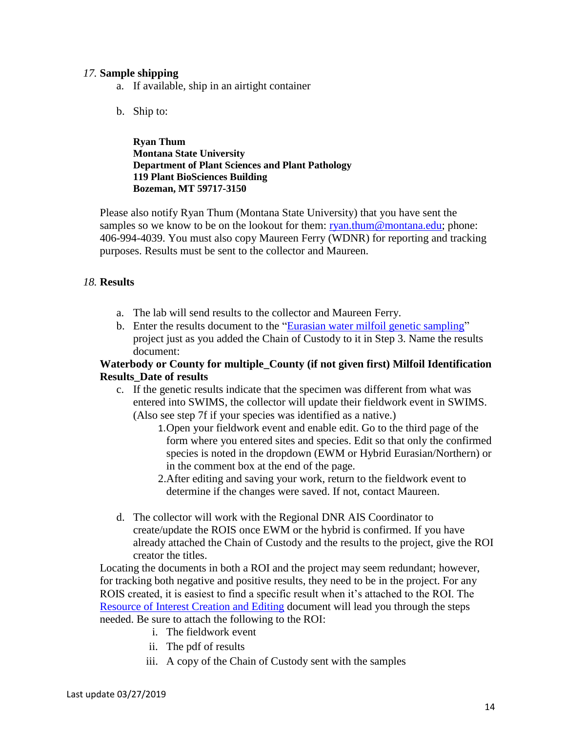### *17.* **Sample shipping**

- a. If available, ship in an airtight container
- b. Ship to:

**Ryan Thum Montana State University Department of Plant Sciences and Plant Pathology 119 Plant BioSciences Building Bozeman, MT 59717-3150**

Please also notify Ryan Thum (Montana State University) that you have sent the samples so we know to be on the lookout for them: [ryan.thum@montana.edu;](mailto:ryan.thum@montana.edu) phone: 406-994-4039. You must also copy Maureen Ferry (WDNR) for reporting and tracking purposes. Results must be sent to the collector and Maureen.

### *18.* **Results**

- a. The lab will send results to the collector and Maureen Ferry.
- b. Enter the results document to the ["Eurasian water milfoil genetic sampling"](https://prodoasint.dnr.wi.gov/swims/viewPlan.do?id=145852804&fromURL=/browseProject.html) project just as you added the Chain of Custody to it in Step 3. Name the results document:

### **Waterbody or County for multiple\_County (if not given first) Milfoil Identification Results\_Date of results**

- c. If the genetic results indicate that the specimen was different from what was entered into SWIMS, the collector will update their fieldwork event in SWIMS. (Also see step 7f if your species was identified as a native.)
	- 1.Open your fieldwork event and enable edit. Go to the third page of the form where you entered sites and species. Edit so that only the confirmed species is noted in the dropdown (EWM or Hybrid Eurasian/Northern) or in the comment box at the end of the page.
	- 2.After editing and saving your work, return to the fieldwork event to determine if the changes were saved. If not, contact Maureen.
- d. The collector will work with the Regional DNR AIS Coordinator to create/update the ROIS once EWM or the hybrid is confirmed. If you have already attached the Chain of Custody and the results to the project, give the ROI creator the titles.

Locating the documents in both a ROI and the project may seem redundant; however, for tracking both negative and positive results, they need to be in the project. For any ROIS created, it is easiest to find a specific result when it's attached to the ROI. The [Resource of Interest Creation and Editing](https://dnrx.wisconsin.gov/swims/downloadDocument.do?id=145713258) document will lead you through the steps needed. Be sure to attach the following to the ROI:

- i. The fieldwork event
- ii. The pdf of results
- iii. A copy of the Chain of Custody sent with the samples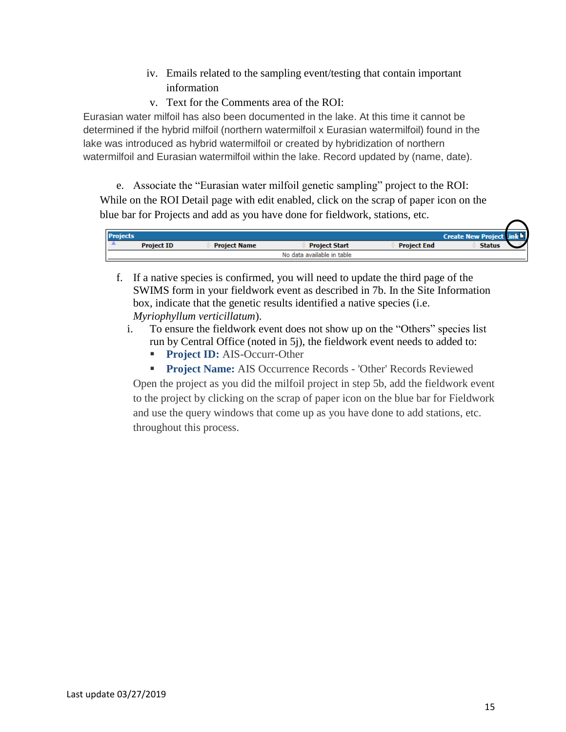- iv. Emails related to the sampling event/testing that contain important information
- v. Text for the Comments area of the ROI:

Eurasian water milfoil has also been documented in the lake. At this time it cannot be determined if the hybrid milfoil (northern watermilfoil x Eurasian watermilfoil) found in the lake was introduced as hybrid watermilfoil or created by hybridization of northern watermilfoil and Eurasian watermilfoil within the lake. Record updated by (name, date).

e. Associate the "Eurasian water milfoil genetic sampling" project to the ROI: While on the ROI Detail page with edit enabled, click on the scrap of paper icon on the blue bar for Projects and add as you have done for fieldwork, stations, etc.

| <b>Projects</b><br><b>Create New Project</b> |                     |                      |                    |               |  |  |
|----------------------------------------------|---------------------|----------------------|--------------------|---------------|--|--|
| <b>Project ID</b>                            | <b>Project Name</b> | <b>Project Start</b> | <b>Project End</b> | <b>Status</b> |  |  |
| No data available in table                   |                     |                      |                    |               |  |  |

- f. If a native species is confirmed, you will need to update the third page of the SWIMS form in your fieldwork event as described in 7b. In the Site Information box, indicate that the genetic results identified a native species (i.e. *Myriophyllum verticillatum*).
	- i. To ensure the fieldwork event does not show up on the "Others" species list run by Central Office (noted in 5j), the fieldwork event needs to added to:
		- Project ID: AIS-Occurr-Other
		- **Project Name:** AIS Occurrence Records 'Other' Records Reviewed

Open the project as you did the milfoil project in step 5b, add the fieldwork event to the project by clicking on the scrap of paper icon on the blue bar for Fieldwork and use the query windows that come up as you have done to add stations, etc. throughout this process.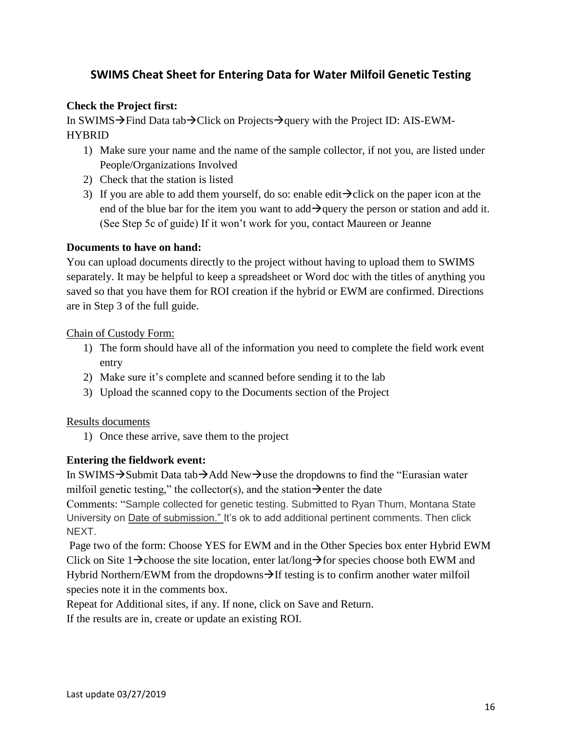# **SWIMS Cheat Sheet for Entering Data for Water Milfoil Genetic Testing**

# **Check the Project first:**

In SWIMS→Find Data tab→Click on Projects→query with the Project ID: AIS-EWM-HYBRID

- 1) Make sure your name and the name of the sample collector, if not you, are listed under People/Organizations Involved
- 2) Check that the station is listed
- 3) If you are able to add them yourself, do so: enable edit $\rightarrow$ click on the paper icon at the end of the blue bar for the item you want to add $\rightarrow$ query the person or station and add it. (See Step 5c of guide) If it won't work for you, contact Maureen or Jeanne

# **Documents to have on hand:**

You can upload documents directly to the project without having to upload them to SWIMS separately. It may be helpful to keep a spreadsheet or Word doc with the titles of anything you saved so that you have them for ROI creation if the hybrid or EWM are confirmed. Directions are in Step 3 of the full guide.

### Chain of Custody Form:

- 1) The form should have all of the information you need to complete the field work event entry
- 2) Make sure it's complete and scanned before sending it to the lab
- 3) Upload the scanned copy to the Documents section of the Project

# Results documents

1) Once these arrive, save them to the project

# **Entering the fieldwork event:**

In SWIMS→Submit Data tab→Add New→use the dropdowns to find the "Eurasian water milfoil genetic testing," the collector(s), and the station $\rightarrow$ enter the date

Comments: "Sample collected for genetic testing. Submitted to Ryan Thum, Montana State University on Date of submission." It's ok to add additional pertinent comments. Then click NEXT.

Page two of the form: Choose YES for EWM and in the Other Species box enter Hybrid EWM Click on Site 1→choose the site location, enter lat/long→for species choose both EWM and Hybrid Northern/EWM from the dropdowns $\rightarrow$ If testing is to confirm another water milfoil species note it in the comments box.

Repeat for Additional sites, if any. If none, click on Save and Return.

If the results are in, create or update an existing ROI.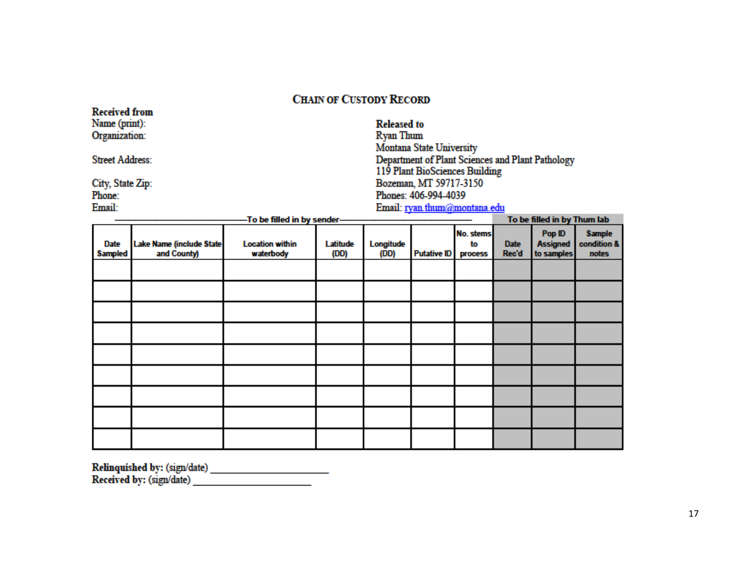# **CHAIN OF CUSTODY RECORD**

| <b>AWWAYWH 11 YIII</b><br>Name (print): |                             | <b>Released to</b>                               |
|-----------------------------------------|-----------------------------|--------------------------------------------------|
| Organization:                           |                             | Ryan Thum                                        |
|                                         |                             | <b>Montana State University</b>                  |
| <b>Street Address:</b>                  |                             | Department of Plant Sciences and Plant Pathology |
|                                         |                             | 119 Plant BioSciences Building                   |
| City, State Zip:                        |                             | Bozeman, MT 59717-3150                           |
| Phone:                                  |                             | Phones: 406-994-4039                             |
| Email:                                  |                             | Email: ryan.thum@montana.edu                     |
|                                         | -To be filled in by sender- | To be filled in by Thum lab                      |

|                               |                                         | The pre-time of the pay presence.   |                  |                   |                    |                            | is be miled in by Thom ido |                                         |                                       |
|-------------------------------|-----------------------------------------|-------------------------------------|------------------|-------------------|--------------------|----------------------------|----------------------------|-----------------------------------------|---------------------------------------|
| <b>Date</b><br><b>Sampled</b> | Lake Name (include State<br>and County) | <b>Location within</b><br>waterbody | Latitude<br>(DD) | Longitude<br>(DD) | <b>Putative ID</b> | No. stems<br>to<br>process | <b>Date</b><br>Rec'd       | Pop ID<br><b>Assigned</b><br>to samples | <b>Sample</b><br>condition &<br>notes |
|                               |                                         |                                     |                  |                   |                    |                            |                            |                                         |                                       |
|                               |                                         |                                     |                  |                   |                    |                            |                            |                                         |                                       |
|                               |                                         |                                     |                  |                   |                    |                            |                            |                                         |                                       |
|                               |                                         |                                     |                  |                   |                    |                            |                            |                                         |                                       |
|                               |                                         |                                     |                  |                   |                    |                            |                            |                                         |                                       |
|                               |                                         |                                     |                  |                   |                    |                            |                            |                                         |                                       |
|                               |                                         |                                     |                  |                   |                    |                            |                            |                                         |                                       |
|                               |                                         |                                     |                  |                   |                    |                            |                            |                                         |                                       |
|                               |                                         |                                     |                  |                   |                    |                            |                            |                                         |                                       |

Received from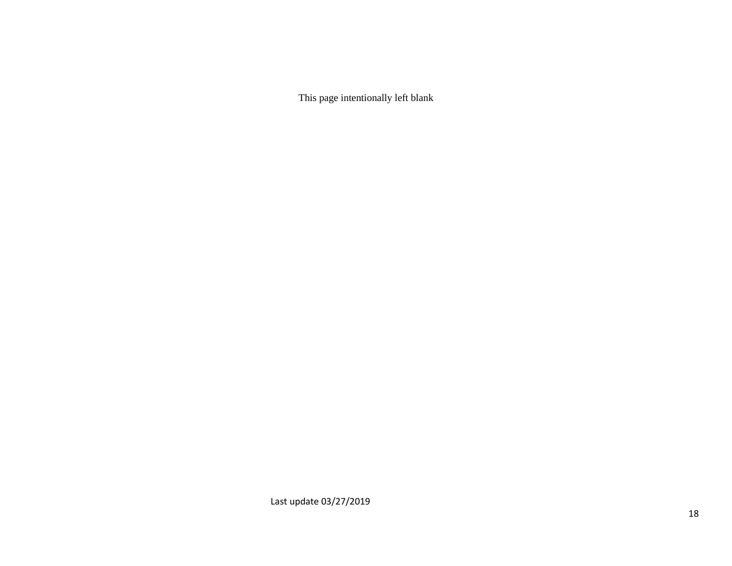This page intentionally left blank

Last update 03/27/2019